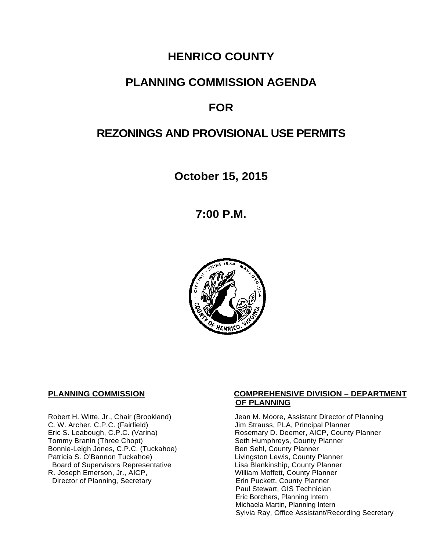# **HENRICO COUNTY**

# **PLANNING COMMISSION AGENDA**

# **FOR**

# **REZONINGS AND PROVISIONAL USE PERMITS**

**October 15, 2015**

**7:00 P.M.**



C. W. Archer, C.P.C. (Fairfield) and Summan Jim Strauss, PLA, Principal Planner<br>
Eric S. Leabough, C.P.C. (Varina) and Summan Rosemary D. Deemer, AICP, County Bonnie-Leigh Jones, C.P.C. (Tuckahoe)<br>Patricia S. O'Bannon Tuckahoe) Board of Supervisors Representative Fig. 2016 Lisa Blankinship, County Planner<br>Lisa Blankinship, County Planner (2008) Lisa Mortett, County Planner (2008) R. Joseph Emerson, Jr., AICP, <br>Director of Planning, Secretary **Network County Planner**<br>Erin Puckett, County Planner Director of Planning, Secretary

#### **PLANNING COMMISSION COMPREHENSIVE DIVISION – DEPARTMENT OF PLANNING**

Robert H. Witte, Jr., Chair (Brookland) Jean M. Moore, Assistant Director of Planning<br>C. W. Archer, C.P.C. (Fairfield) Jim Strauss, PLA, Principal Planner Eric S. Leabough, C.P.C. (Varina) <br>Tommy Branin (Three Chopt) **Reading State State Seth Humphreys, County Planner** Commy Planner Seth Humphreys, County Planner<br>Ben Sehl, County Planner Livingston Lewis, County Planner Paul Stewart, GIS Technician Eric Borchers, Planning Intern Michaela Martin, Planning Intern Sylvia Ray, Office Assistant/Recording Secretary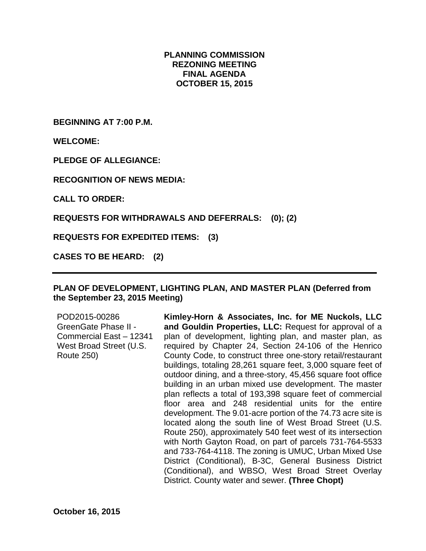#### **PLANNING COMMISSION REZONING MEETING FINAL AGENDA OCTOBER 15, 2015**

**BEGINNING AT 7:00 P.M.**

**WELCOME:**

**PLEDGE OF ALLEGIANCE:**

**RECOGNITION OF NEWS MEDIA:**

**CALL TO ORDER:**

**REQUESTS FOR WITHDRAWALS AND DEFERRALS: (0); (2)**

**REQUESTS FOR EXPEDITED ITEMS: (3)**

**CASES TO BE HEARD: (2)**

#### **PLAN OF DEVELOPMENT, LIGHTING PLAN, AND MASTER PLAN (Deferred from the September 23, 2015 Meeting)**

| POD2015-00286<br><b>GreenGate Phase II -</b><br>Commercial East - 12341<br>West Broad Street (U.S.<br><b>Route 250)</b> | Kimley-Horn & Associates, Inc. for ME Nuckols, LLC<br>and Gouldin Properties, LLC: Request for approval of a<br>plan of development, lighting plan, and master plan, as<br>required by Chapter 24, Section 24-106 of the Henrico<br>County Code, to construct three one-story retail/restaurant<br>buildings, totaling 28,261 square feet, 3,000 square feet of<br>outdoor dining, and a three-story, 45,456 square foot office<br>building in an urban mixed use development. The master<br>plan reflects a total of 193,398 square feet of commercial<br>floor area and 248 residential units for the entire<br>development. The 9.01-acre portion of the 74.73 acre site is<br>located along the south line of West Broad Street (U.S.<br>Route 250), approximately 540 feet west of its intersection<br>with North Gayton Road, on part of parcels 731-764-5533<br>and 733-764-4118. The zoning is UMUC, Urban Mixed Use<br>District (Conditional), B-3C, General Business District<br>(Conditional), and WBSO, West Broad Street Overlay |
|-------------------------------------------------------------------------------------------------------------------------|-----------------------------------------------------------------------------------------------------------------------------------------------------------------------------------------------------------------------------------------------------------------------------------------------------------------------------------------------------------------------------------------------------------------------------------------------------------------------------------------------------------------------------------------------------------------------------------------------------------------------------------------------------------------------------------------------------------------------------------------------------------------------------------------------------------------------------------------------------------------------------------------------------------------------------------------------------------------------------------------------------------------------------------------------|
|                                                                                                                         | District. County water and sewer. (Three Chopt)                                                                                                                                                                                                                                                                                                                                                                                                                                                                                                                                                                                                                                                                                                                                                                                                                                                                                                                                                                                               |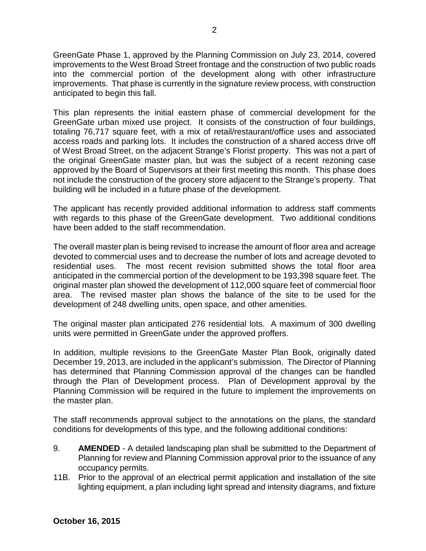GreenGate Phase 1, approved by the Planning Commission on July 23, 2014, covered improvements to the West Broad Street frontage and the construction of two public roads into the commercial portion of the development along with other infrastructure improvements. That phase is currently in the signature review process, with construction anticipated to begin this fall.

This plan represents the initial eastern phase of commercial development for the GreenGate urban mixed use project. It consists of the construction of four buildings, totaling 76,717 square feet, with a mix of retail/restaurant/office uses and associated access roads and parking lots. It includes the construction of a shared access drive off of West Broad Street, on the adjacent Strange's Florist property. This was not a part of the original GreenGate master plan, but was the subject of a recent rezoning case approved by the Board of Supervisors at their first meeting this month. This phase does not include the construction of the grocery store adjacent to the Strange's property. That building will be included in a future phase of the development.

The applicant has recently provided additional information to address staff comments with regards to this phase of the GreenGate development. Two additional conditions have been added to the staff recommendation.

The overall master plan is being revised to increase the amount of floor area and acreage devoted to commercial uses and to decrease the number of lots and acreage devoted to residential uses. The most recent revision submitted shows the total floor area anticipated in the commercial portion of the development to be 193,398 square feet. The original master plan showed the development of 112,000 square feet of commercial floor area. The revised master plan shows the balance of the site to be used for the development of 248 dwelling units, open space, and other amenities.

The original master plan anticipated 276 residential lots. A maximum of 300 dwelling units were permitted in GreenGate under the approved proffers.

In addition, multiple revisions to the GreenGate Master Plan Book, originally dated December 19, 2013, are included in the applicant's submission. The Director of Planning has determined that Planning Commission approval of the changes can be handled through the Plan of Development process. Plan of Development approval by the Planning Commission will be required in the future to implement the improvements on the master plan.

The staff recommends approval subject to the annotations on the plans, the standard conditions for developments of this type, and the following additional conditions:

- 9. **AMENDED** A detailed landscaping plan shall be submitted to the Department of Planning for review and Planning Commission approval prior to the issuance of any occupancy permits.
- 11B. Prior to the approval of an electrical permit application and installation of the site lighting equipment, a plan including light spread and intensity diagrams, and fixture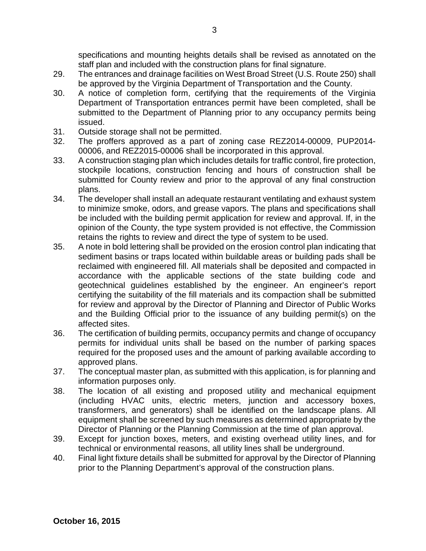specifications and mounting heights details shall be revised as annotated on the staff plan and included with the construction plans for final signature.

- 29. The entrances and drainage facilities on West Broad Street (U.S. Route 250) shall be approved by the Virginia Department of Transportation and the County.
- 30. A notice of completion form, certifying that the requirements of the Virginia Department of Transportation entrances permit have been completed, shall be submitted to the Department of Planning prior to any occupancy permits being issued.
- 31. Outside storage shall not be permitted.
- 32. The proffers approved as a part of zoning case REZ2014-00009, PUP2014- 00006, and REZ2015-00006 shall be incorporated in this approval.
- 33. A construction staging plan which includes details for traffic control, fire protection, stockpile locations, construction fencing and hours of construction shall be submitted for County review and prior to the approval of any final construction plans.
- 34. The developer shall install an adequate restaurant ventilating and exhaust system to minimize smoke, odors, and grease vapors. The plans and specifications shall be included with the building permit application for review and approval. If, in the opinion of the County, the type system provided is not effective, the Commission retains the rights to review and direct the type of system to be used.
- 35. A note in bold lettering shall be provided on the erosion control plan indicating that sediment basins or traps located within buildable areas or building pads shall be reclaimed with engineered fill. All materials shall be deposited and compacted in accordance with the applicable sections of the state building code and geotechnical guidelines established by the engineer. An engineer's report certifying the suitability of the fill materials and its compaction shall be submitted for review and approval by the Director of Planning and Director of Public Works and the Building Official prior to the issuance of any building permit(s) on the affected sites.
- 36. The certification of building permits, occupancy permits and change of occupancy permits for individual units shall be based on the number of parking spaces required for the proposed uses and the amount of parking available according to approved plans.
- 37. The conceptual master plan, as submitted with this application, is for planning and information purposes only.
- 38. The location of all existing and proposed utility and mechanical equipment (including HVAC units, electric meters, junction and accessory boxes, transformers, and generators) shall be identified on the landscape plans. All equipment shall be screened by such measures as determined appropriate by the Director of Planning or the Planning Commission at the time of plan approval.
- 39. Except for junction boxes, meters, and existing overhead utility lines, and for technical or environmental reasons, all utility lines shall be underground.
- 40. Final light fixture details shall be submitted for approval by the Director of Planning prior to the Planning Department's approval of the construction plans.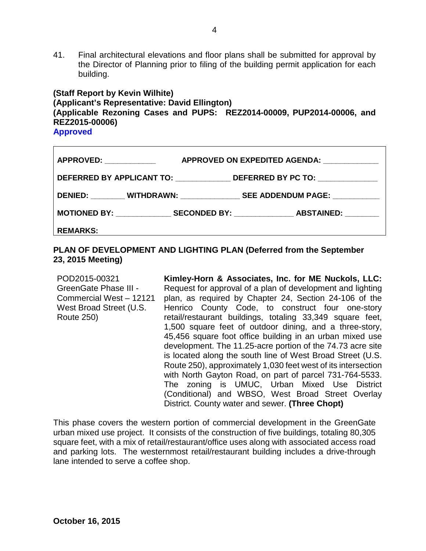41. Final architectural elevations and floor plans shall be submitted for approval by the Director of Planning prior to filing of the building permit application for each building.

#### **(Staff Report by Kevin Wilhite) (Applicant's Representative: David Ellington) (Applicable Rezoning Cases and PUPS: REZ2014-00009, PUP2014-00006, and REZ2015-00006) Approved**

| <b>APPROVED:</b> APPROVED:                   | APPROVED ON EXPEDITED AGENDA:         |  |  |  |  |
|----------------------------------------------|---------------------------------------|--|--|--|--|
| DEFERRED BY APPLICANT TO: DEFERRED BY PC TO: |                                       |  |  |  |  |
|                                              | DENIED: WITHDRAWN: SEE ADDENDUM PAGE: |  |  |  |  |
|                                              |                                       |  |  |  |  |
| <b>REMARKS:</b>                              |                                       |  |  |  |  |

#### **PLAN OF DEVELOPMENT AND LIGHTING PLAN (Deferred from the September 23, 2015 Meeting)**

POD2015-00321 GreenGate Phase III - Commercial West – 12121 West Broad Street (U.S. Route 250) **Kimley-Horn & Associates, Inc. for ME Nuckols, LLC:**  Request for approval of a plan of development and lighting plan, as required by Chapter 24, Section 24-106 of the Henrico County Code, to construct four one-story retail/restaurant buildings, totaling 33,349 square feet, 1,500 square feet of outdoor dining, and a three-story, 45,456 square foot office building in an urban mixed use development. The 11.25-acre portion of the 74.73 acre site is located along the south line of West Broad Street (U.S. Route 250), approximately 1,030 feet west of its intersection with North Gayton Road, on part of parcel 731-764-5533. The zoning is UMUC, Urban Mixed Use District (Conditional) and WBSO, West Broad Street Overlay District. County water and sewer. **(Three Chopt)**

This phase covers the western portion of commercial development in the GreenGate urban mixed use project. It consists of the construction of five buildings, totaling 80,305 square feet, with a mix of retail/restaurant/office uses along with associated access road and parking lots. The westernmost retail/restaurant building includes a drive-through lane intended to serve a coffee shop.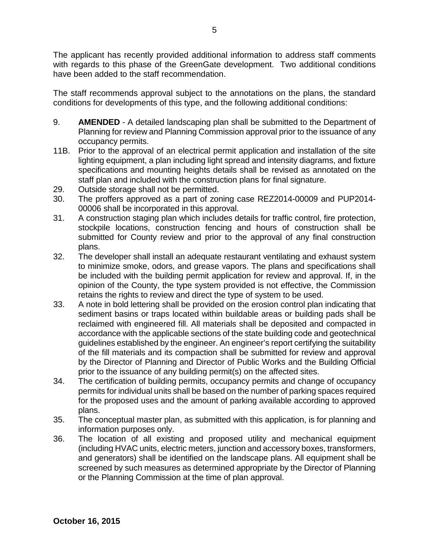The applicant has recently provided additional information to address staff comments with regards to this phase of the GreenGate development. Two additional conditions have been added to the staff recommendation.

The staff recommends approval subject to the annotations on the plans, the standard conditions for developments of this type, and the following additional conditions:

- 9. **AMENDED** A detailed landscaping plan shall be submitted to the Department of Planning for review and Planning Commission approval prior to the issuance of any occupancy permits.
- 11B. Prior to the approval of an electrical permit application and installation of the site lighting equipment, a plan including light spread and intensity diagrams, and fixture specifications and mounting heights details shall be revised as annotated on the staff plan and included with the construction plans for final signature.
- 29. Outside storage shall not be permitted.
- 30. The proffers approved as a part of zoning case REZ2014-00009 and PUP2014- 00006 shall be incorporated in this approval.
- 31. A construction staging plan which includes details for traffic control, fire protection, stockpile locations, construction fencing and hours of construction shall be submitted for County review and prior to the approval of any final construction plans.
- 32. The developer shall install an adequate restaurant ventilating and exhaust system to minimize smoke, odors, and grease vapors. The plans and specifications shall be included with the building permit application for review and approval. If, in the opinion of the County, the type system provided is not effective, the Commission retains the rights to review and direct the type of system to be used.
- 33. A note in bold lettering shall be provided on the erosion control plan indicating that sediment basins or traps located within buildable areas or building pads shall be reclaimed with engineered fill. All materials shall be deposited and compacted in accordance with the applicable sections of the state building code and geotechnical guidelines established by the engineer. An engineer's report certifying the suitability of the fill materials and its compaction shall be submitted for review and approval by the Director of Planning and Director of Public Works and the Building Official prior to the issuance of any building permit(s) on the affected sites.
- 34. The certification of building permits, occupancy permits and change of occupancy permits for individual units shall be based on the number of parking spaces required for the proposed uses and the amount of parking available according to approved plans.
- 35. The conceptual master plan, as submitted with this application, is for planning and information purposes only.
- 36. The location of all existing and proposed utility and mechanical equipment (including HVAC units, electric meters, junction and accessory boxes, transformers, and generators) shall be identified on the landscape plans. All equipment shall be screened by such measures as determined appropriate by the Director of Planning or the Planning Commission at the time of plan approval.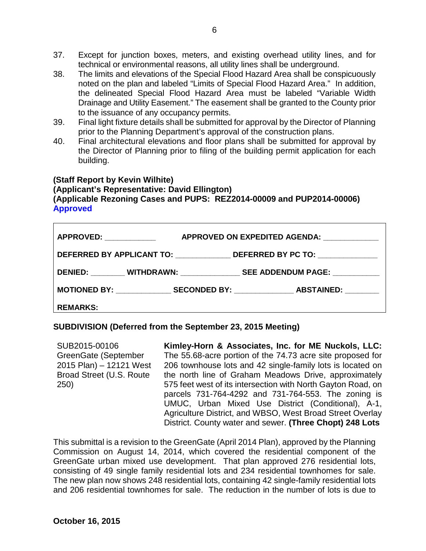- 37. Except for junction boxes, meters, and existing overhead utility lines, and for technical or environmental reasons, all utility lines shall be underground.
- 38. The limits and elevations of the Special Flood Hazard Area shall be conspicuously noted on the plan and labeled "Limits of Special Flood Hazard Area." In addition, the delineated Special Flood Hazard Area must be labeled "Variable Width Drainage and Utility Easement." The easement shall be granted to the County prior to the issuance of any occupancy permits.
- 39. Final light fixture details shall be submitted for approval by the Director of Planning prior to the Planning Department's approval of the construction plans.
- 40. Final architectural elevations and floor plans shall be submitted for approval by the Director of Planning prior to filing of the building permit application for each building.

#### **(Staff Report by Kevin Wilhite) (Applicant's Representative: David Ellington) (Applicable Rezoning Cases and PUPS: REZ2014-00009 and PUP2014-00006) Approved**

|                                                                                  | APPROVED ON EXPEDITED AGENDA: |                                                                             |  |  |  |
|----------------------------------------------------------------------------------|-------------------------------|-----------------------------------------------------------------------------|--|--|--|
| DEFERRED BY APPLICANT TO: ________________DEFERRED BY PC TO: ___________________ |                               |                                                                             |  |  |  |
|                                                                                  |                               | DENIED: _________ WITHDRAWN: ________________ SEE ADDENDUM PAGE: __________ |  |  |  |
|                                                                                  |                               |                                                                             |  |  |  |
| <b>REMARKS:</b>                                                                  |                               |                                                                             |  |  |  |

#### **SUBDIVISION (Deferred from the September 23, 2015 Meeting)**

SUB2015-00106 GreenGate (September 2015 Plan) – 12121 West Broad Street (U.S. Route 250) **Kimley-Horn & Associates, Inc. for ME Nuckols, LLC:** The 55.68-acre portion of the 74.73 acre site proposed for 206 townhouse lots and 42 single-family lots is located on the north line of Graham Meadows Drive, approximately 575 feet west of its intersection with North Gayton Road, on parcels 731-764-4292 and 731-764-553. The zoning is UMUC, Urban Mixed Use District (Conditional), A-1, Agriculture District, and WBSO, West Broad Street Overlay District. County water and sewer. **(Three Chopt) 248 Lots**

This submittal is a revision to the GreenGate (April 2014 Plan), approved by the Planning Commission on August 14, 2014, which covered the residential component of the GreenGate urban mixed use development. That plan approved 276 residential lots, consisting of 49 single family residential lots and 234 residential townhomes for sale. The new plan now shows 248 residential lots, containing 42 single-family residential lots and 206 residential townhomes for sale. The reduction in the number of lots is due to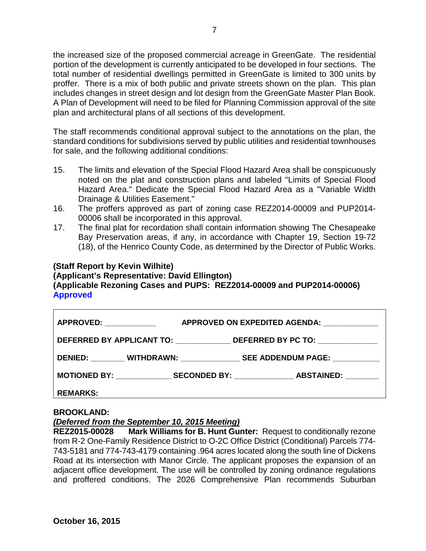the increased size of the proposed commercial acreage in GreenGate. The residential portion of the development is currently anticipated to be developed in four sections. The total number of residential dwellings permitted in GreenGate is limited to 300 units by proffer. There is a mix of both public and private streets shown on the plan. This plan includes changes in street design and lot design from the GreenGate Master Plan Book. A Plan of Development will need to be filed for Planning Commission approval of the site plan and architectural plans of all sections of this development.

The staff recommends conditional approval subject to the annotations on the plan, the standard conditions for subdivisions served by public utilities and residential townhouses for sale, and the following additional conditions:

- 15. The limits and elevation of the Special Flood Hazard Area shall be conspicuously noted on the plat and construction plans and labeled "Limits of Special Flood Hazard Area." Dedicate the Special Flood Hazard Area as a "Variable Width Drainage & Utilities Easement."
- 16. The proffers approved as part of zoning case REZ2014-00009 and PUP2014- 00006 shall be incorporated in this approval.
- 17. The final plat for recordation shall contain information showing The Chesapeake Bay Preservation areas, if any, in accordance with Chapter 19, Section 19-72 (18), of the Henrico County Code, as determined by the Director of Public Works.

#### **(Staff Report by Kevin Wilhite)**

**(Applicant's Representative: David Ellington)**

## **(Applicable Rezoning Cases and PUPS: REZ2014-00009 and PUP2014-00006) Approved**

| <b>APPROVED:</b> APPROVED:                                                       | APPROVED ON EXPEDITED AGENDA:        |  |  |  |  |
|----------------------------------------------------------------------------------|--------------------------------------|--|--|--|--|
| DEFERRED BY APPLICANT TO: ________________DEFERRED BY PC TO: ___________________ |                                      |  |  |  |  |
|                                                                                  |                                      |  |  |  |  |
|                                                                                  | MOTIONED BY: SECONDED BY: ABSTAINED: |  |  |  |  |
| <b>REMARKS:</b>                                                                  |                                      |  |  |  |  |

#### **BROOKLAND:**

#### *(Deferred from the September 10, 2015 Meeting)*

**REZ2015-00028 Mark Williams for B. Hunt Gunter:** Request to conditionally rezone from R-2 One-Family Residence District to O-2C Office District (Conditional) Parcels 774- 743-5181 and 774-743-4179 containing .964 acres located along the south line of Dickens Road at its intersection with Manor Circle. The applicant proposes the expansion of an adjacent office development. The use will be controlled by zoning ordinance regulations and proffered conditions. The 2026 Comprehensive Plan recommends Suburban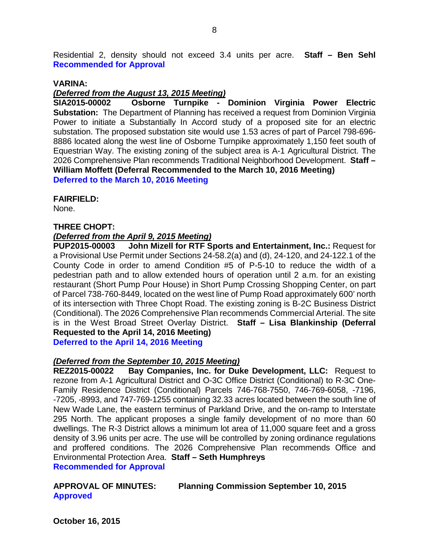Residential 2, density should not exceed 3.4 units per acre. **Staff – Ben Sehl Recommended for Approval**

#### **VARINA:**

#### *(Deferred from the August 13, 2015 Meeting)*

**SIA2015-00002 Osborne Turnpike - Dominion Virginia Power Electric Substation:** The Department of Planning has received a request from Dominion Virginia Power to initiate a Substantially In Accord study of a proposed site for an electric substation. The proposed substation site would use 1.53 acres of part of Parcel 798-696- 8886 located along the west line of Osborne Turnpike approximately 1,150 feet south of Equestrian Way. The existing zoning of the subject area is A-1 Agricultural District. The 2026 Comprehensive Plan recommends Traditional Neighborhood Development. **Staff – William Moffett (Deferral Recommended to the March 10, 2016 Meeting) Deferred to the March 10, 2016 Meeting**

#### **FAIRFIELD:**

None.

#### **THREE CHOPT:**

# *(Deferred from the April 9, 2015 Meeting)*

**John Mizell for RTF Sports and Entertainment, Inc.: Request for** a Provisional Use Permit under Sections 24-58.2(a) and (d), 24-120, and 24-122.1 of the County Code in order to amend Condition #5 of P-5-10 to reduce the width of a pedestrian path and to allow extended hours of operation until 2 a.m. for an existing restaurant (Short Pump Pour House) in Short Pump Crossing Shopping Center, on part of Parcel 738-760-8449, located on the west line of Pump Road approximately 600' north of its intersection with Three Chopt Road. The existing zoning is B-2C Business District (Conditional). The 2026 Comprehensive Plan recommends Commercial Arterial. The site is in the West Broad Street Overlay District. **Staff – Lisa Blankinship (Deferral Requested to the April 14, 2016 Meeting)**

**Deferred to the April 14, 2016 Meeting**

#### *(Deferred from the September 10, 2015 Meeting)*

**REZ2015-00022 Bay Companies, Inc. for Duke Development, LLC:** Request to rezone from A-1 Agricultural District and O-3C Office District (Conditional) to R-3C One-Family Residence District (Conditional) Parcels 746-768-7550, 746-769-6058, -7196, -7205, -8993, and 747-769-1255 containing 32.33 acres located between the south line of New Wade Lane, the eastern terminus of Parkland Drive, and the on-ramp to Interstate 295 North. The applicant proposes a single family development of no more than 60 dwellings. The R-3 District allows a minimum lot area of 11,000 square feet and a gross density of 3.96 units per acre. The use will be controlled by zoning ordinance regulations and proffered conditions. The 2026 Comprehensive Plan recommends Office and Environmental Protection Area. **Staff – Seth Humphreys**

**Recommended for Approval**

### **APPROVAL OF MINUTES: Planning Commission September 10, 2015 Approved**

**October 16, 2015**